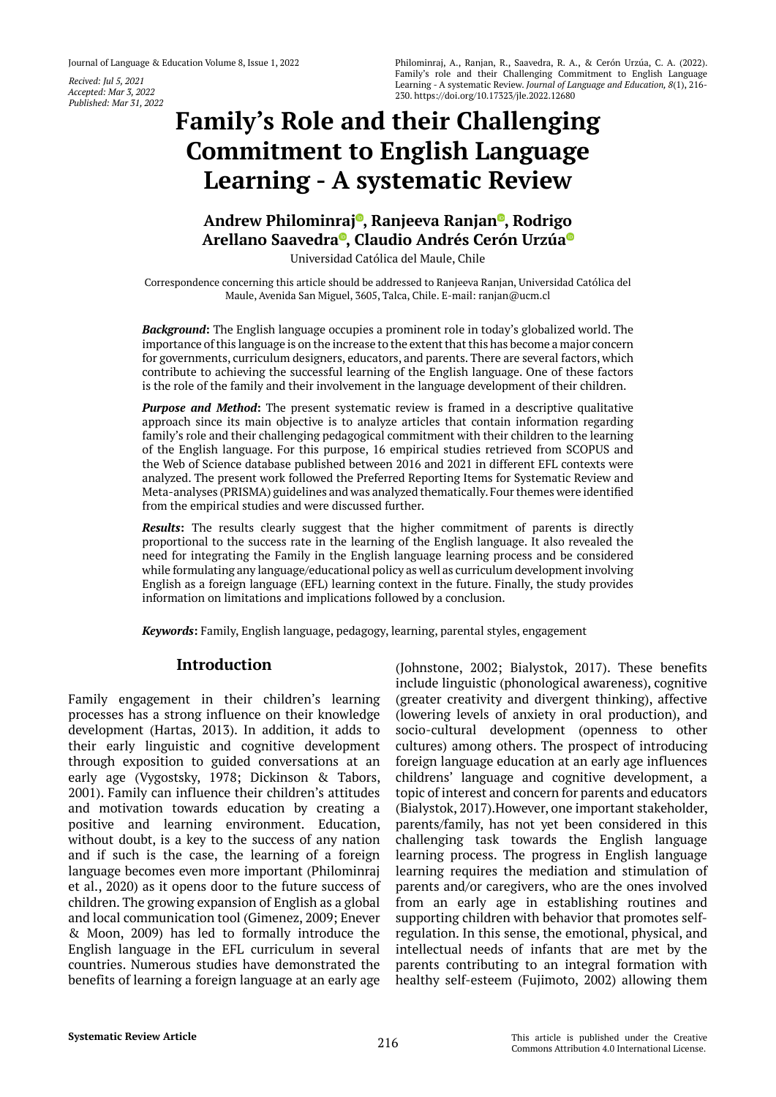*Recived: Jul 5, 2021 Accepted: Mar 3, 2022 Published: Mar 31, 2022*

# **[Family's Role and their Challenging](https://orcid.org/0000-0001-8671-3623)  Commitment to English Language Learning - A systematic Review**

# **Andrew Philominraj , Ranjeeva Ranjan [,](https://orcid.org/0000-0002-7667-2191) Rodrigo Arellano Saavedra , Claudio Andrés Cerón Urzú[a](https://orcid.org/0000-0001-6063-7642
)**

Universidad Católica del Maule, Chile

Correspondence concerning this article should be addressed to Ranjeeva Ranjan, Universidad Católica del Maule, Avenida San Miguel, 3605, Talca, Chile. E-mail: ranjan@ucm.cl

*Background***:** The English language occupies a prominent role in today's globalized world. The importance of this language is on the increase to the extent that this has become a major concern for governments, curriculum designers, educators, and parents. There are several factors, which contribute to achieving the successful learning of the English language. One of these factors is the role of the family and their involvement in the language development of their children.

*Purpose and Method***:** The present systematic review is framed in a descriptive qualitative approach since its main objective is to analyze articles that contain information regarding family's role and their challenging pedagogical commitment with their children to the learning of the English language. For this purpose, 16 empirical studies retrieved from SCOPUS and the Web of Science database published between 2016 and 2021 in different EFL contexts were analyzed. The present work followed the Preferred Reporting Items for Systematic Review and Meta-analyses (PRISMA) guidelines and was analyzed thematically. Four themes were identified from the empirical studies and were discussed further.

*Results***:** The results clearly suggest that the higher commitment of parents is directly proportional to the success rate in the learning of the English language. It also revealed the need for integrating the Family in the English language learning process and be considered while formulating any language/educational policy as well as curriculum development involving English as a foreign language (EFL) learning context in the future. Finally, the study provides information on limitations and implications followed by a conclusion.

*Keywords***:** Family, English language, pedagogy, learning, parental styles, engagement

# **Introduction**

Family engagement in their children's learning processes has a strong influence on their knowledge development (Hartas, 2013). In addition, it adds to their early linguistic and cognitive development through exposition to guided conversations at an early age (Vygostsky, 1978; Dickinson & Tabors, 2001). Family can influence their children's attitudes and motivation towards education by creating a positive and learning environment. Education, without doubt, is a key to the success of any nation and if such is the case, the learning of a foreign language becomes even more important (Philominraj et al., 2020) as it opens door to the future success of children. The growing expansion of English as a global and local communication tool (Gimenez, 2009; Enever & Moon, 2009) has led to formally introduce the English language in the EFL curriculum in several countries. Numerous studies have demonstrated the benefits of learning a foreign language at an early age

(Johnstone, 2002; Bialystok, 2017). These benefits include linguistic (phonological awareness), cognitive (greater creativity and divergent thinking), affective (lowering levels of anxiety in oral production), and socio-cultural development (openness to other cultures) among others. The prospect of introducing foreign language education at an early age influences childrens' language and cognitive development, a topic of interest and concern for parents and educators (Bialystok, 2017).However, one important stakeholder, parents/family, has not yet been considered in this challenging task towards the English language learning process. The progress in English language learning requires the mediation and stimulation of parents and/or caregivers, who are the ones involved from an early age in establishing routines and supporting children with behavior that promotes selfregulation. In this sense, the emotional, physical, and intellectual needs of infants that are met by the parents contributing to an integral formation with healthy self-esteem (Fujimoto, 2002) allowing them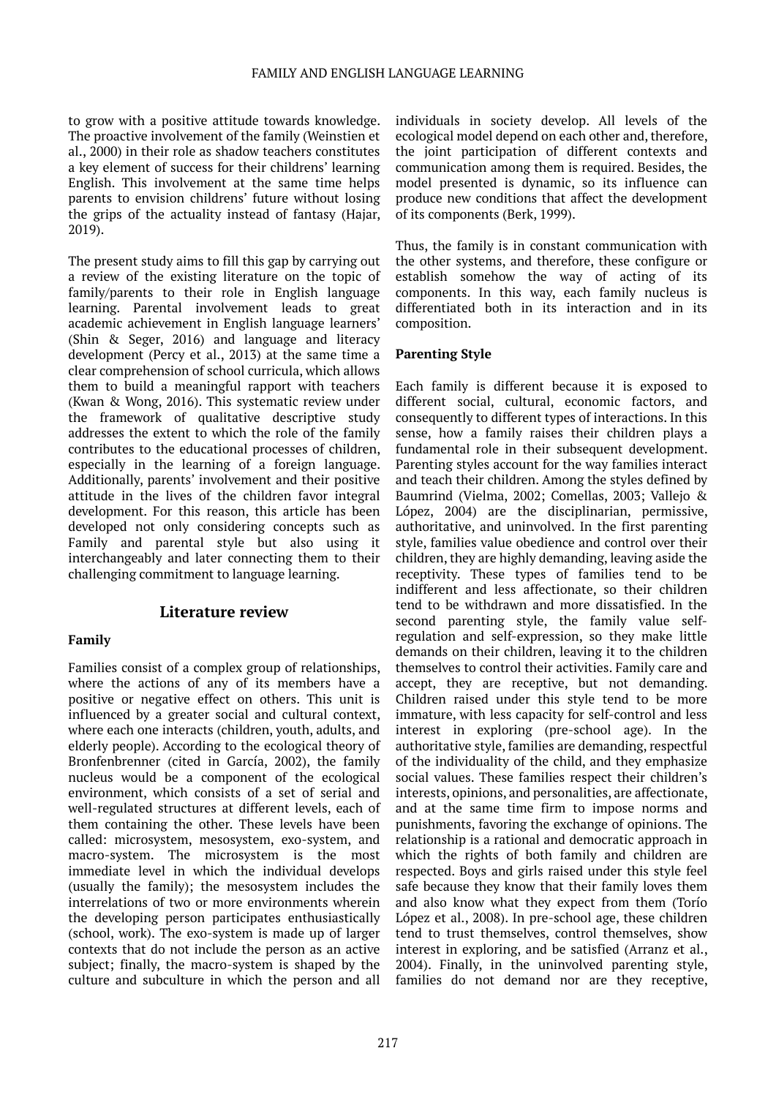to grow with a positive attitude towards knowledge. The proactive involvement of the family (Weinstien et al., 2000) in their role as shadow teachers constitutes a key element of success for their childrens' learning English. This involvement at the same time helps parents to envision childrens' future without losing the grips of the actuality instead of fantasy (Hajar, 2019).

The present study aims to fill this gap by carrying out a review of the existing literature on the topic of family/parents to their role in English language learning. Parental involvement leads to great academic achievement in English language learners' (Shin & Seger, 2016) and language and literacy development (Percy et al., 2013) at the same time a clear comprehension of school curricula, which allows them to build a meaningful rapport with teachers (Kwan & Wong, 2016). This systematic review under the framework of qualitative descriptive study addresses the extent to which the role of the family contributes to the educational processes of children, especially in the learning of a foreign language. Additionally, parents' involvement and their positive attitude in the lives of the children favor integral development. For this reason, this article has been developed not only considering concepts such as Family and parental style but also using it interchangeably and later connecting them to their challenging commitment to language learning.

# **Literature review**

### **Family**

Families consist of a complex group of relationships, where the actions of any of its members have a positive or negative effect on others. This unit is influenced by a greater social and cultural context, where each one interacts (children, youth, adults, and elderly people). According to the ecological theory of Bronfenbrenner (cited in García, 2002), the family nucleus would be a component of the ecological environment, which consists of a set of serial and well-regulated structures at different levels, each of them containing the other. These levels have been called: microsystem, mesosystem, exo-system, and macro-system. The microsystem is the most immediate level in which the individual develops (usually the family); the mesosystem includes the interrelations of two or more environments wherein the developing person participates enthusiastically (school, work). The exo-system is made up of larger contexts that do not include the person as an active subject; finally, the macro-system is shaped by the culture and subculture in which the person and all

individuals in society develop. All levels of the ecological model depend on each other and, therefore, the joint participation of different contexts and communication among them is required. Besides, the model presented is dynamic, so its influence can produce new conditions that affect the development of its components (Berk, 1999).

Thus, the family is in constant communication with the other systems, and therefore, these configure or establish somehow the way of acting of its components. In this way, each family nucleus is differentiated both in its interaction and in its composition.

### **Parenting Style**

Each family is different because it is exposed to different social, cultural, economic factors, and consequently to different types of interactions. In this sense, how a family raises their children plays a fundamental role in their subsequent development. Parenting styles account for the way families interact and teach their children. Among the styles defined by Baumrind (Vielma, 2002; Comellas, 2003; Vallejo & López, 2004) are the disciplinarian, permissive, authoritative, and uninvolved. In the first parenting style, families value obedience and control over their children, they are highly demanding, leaving aside the receptivity. These types of families tend to be indifferent and less affectionate, so their children tend to be withdrawn and more dissatisfied. In the second parenting style, the family value selfregulation and self-expression, so they make little demands on their children, leaving it to the children themselves to control their activities. Family care and accept, they are receptive, but not demanding. Children raised under this style tend to be more immature, with less capacity for self-control and less interest in exploring (pre-school age). In the authoritative style, families are demanding, respectful of the individuality of the child, and they emphasize social values. These families respect their children's interests, opinions, and personalities, are affectionate, and at the same time firm to impose norms and punishments, favoring the exchange of opinions. The relationship is a rational and democratic approach in which the rights of both family and children are respected. Boys and girls raised under this style feel safe because they know that their family loves them and also know what they expect from them (Torío López et al., 2008). In pre-school age, these children tend to trust themselves, control themselves, show interest in exploring, and be satisfied (Arranz et al., 2004). Finally, in the uninvolved parenting style, families do not demand nor are they receptive,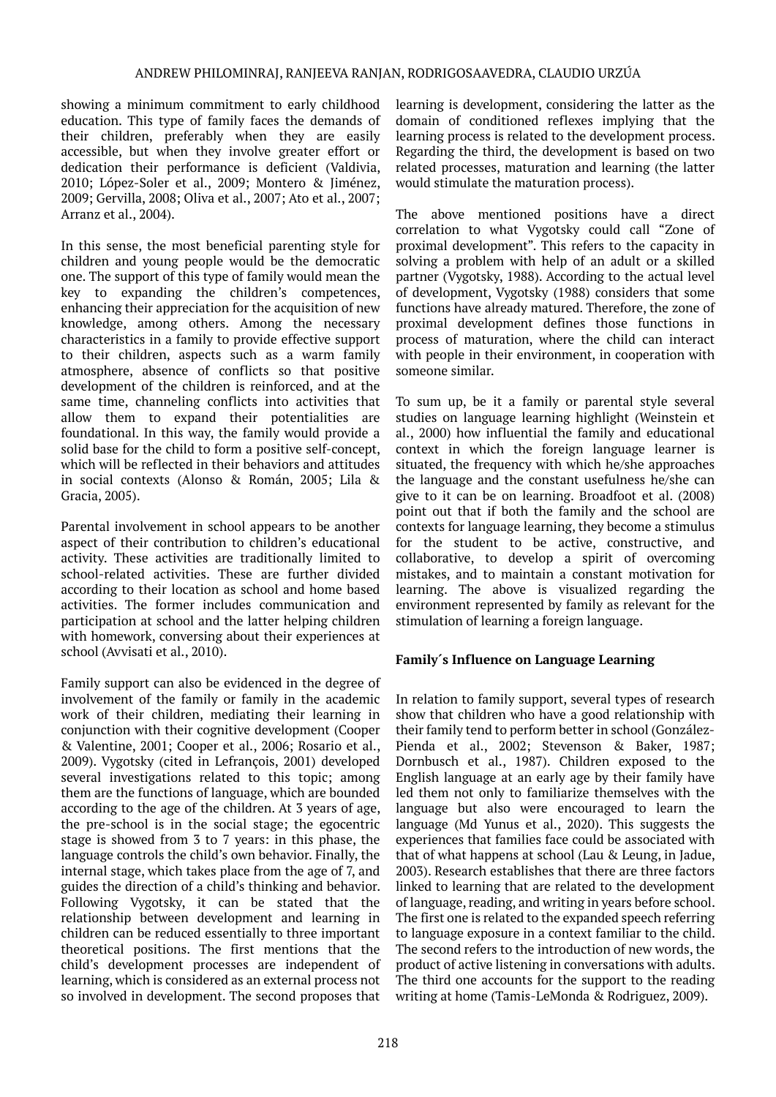#### ANDREW PHILOMINRAJ, RANJEEVA RANJAN, RODRIGOSAAVEDRA, CLAUDIO URZÚA

showing a minimum commitment to early childhood education. This type of family faces the demands of their children, preferably when they are easily accessible, but when they involve greater effort or dedication their performance is deficient (Valdivia, 2010; López-Soler et al., 2009; Montero & Jiménez, 2009; Gervilla, 2008; Oliva et al., 2007; Ato et al., 2007; Arranz et al., 2004).

In this sense, the most beneficial parenting style for children and young people would be the democratic one. The support of this type of family would mean the key to expanding the children's competences, enhancing their appreciation for the acquisition of new knowledge, among others. Among the necessary characteristics in a family to provide effective support to their children, aspects such as a warm family atmosphere, absence of conflicts so that positive development of the children is reinforced, and at the same time, channeling conflicts into activities that allow them to expand their potentialities are foundational. In this way, the family would provide a solid base for the child to form a positive self-concept, which will be reflected in their behaviors and attitudes in social contexts (Alonso & Román, 2005; Lila & Gracia, 2005).

Parental involvement in school appears to be another aspect of their contribution to children's educational activity. These activities are traditionally limited to school-related activities. These are further divided according to their location as school and home based activities. The former includes communication and participation at school and the latter helping children with homework, conversing about their experiences at school (Avvisati et al., 2010).

Family support can also be evidenced in the degree of involvement of the family or family in the academic work of their children, mediating their learning in conjunction with their cognitive development (Cooper & Valentine, 2001; Cooper et al., 2006; Rosario et al., 2009). Vygotsky (cited in Lefrançois, 2001) developed several investigations related to this topic; among them are the functions of language, which are bounded according to the age of the children. At 3 years of age, the pre-school is in the social stage; the egocentric stage is showed from 3 to 7 years: in this phase, the language controls the child's own behavior. Finally, the internal stage, which takes place from the age of 7, and guides the direction of a child's thinking and behavior. Following Vygotsky, it can be stated that the relationship between development and learning in children can be reduced essentially to three important theoretical positions. The first mentions that the child's development processes are independent of learning, which is considered as an external process not so involved in development. The second proposes that

learning is development, considering the latter as the domain of conditioned reflexes implying that the learning process is related to the development process. Regarding the third, the development is based on two related processes, maturation and learning (the latter would stimulate the maturation process).

The above mentioned positions have a direct correlation to what Vygotsky could call "Zone of proximal development". This refers to the capacity in solving a problem with help of an adult or a skilled partner (Vygotsky, 1988). According to the actual level of development, Vygotsky (1988) considers that some functions have already matured. Therefore, the zone of proximal development defines those functions in process of maturation, where the child can interact with people in their environment, in cooperation with someone similar.

To sum up, be it a family or parental style several studies on language learning highlight (Weinstein et al., 2000) how influential the family and educational context in which the foreign language learner is situated, the frequency with which he/she approaches the language and the constant usefulness he/she can give to it can be on learning. Broadfoot et al. (2008) point out that if both the family and the school are contexts for language learning, they become a stimulus for the student to be active, constructive, and collaborative, to develop a spirit of overcoming mistakes, and to maintain a constant motivation for learning. The above is visualized regarding the environment represented by family as relevant for the stimulation of learning a foreign language.

### **Family´s Influence on Language Learning**

In relation to family support, several types of research show that children who have a good relationship with their family tend to perform better in school (González-Pienda et al., 2002; Stevenson & Baker, 1987; Dornbusch et al., 1987). Children exposed to the English language at an early age by their family have led them not only to familiarize themselves with the language but also were encouraged to learn the language (Md Yunus et al., 2020). This suggests the experiences that families face could be associated with that of what happens at school (Lau & Leung, in Jadue, 2003). Research establishes that there are three factors linked to learning that are related to the development of language, reading, and writing in years before school. The first one is related to the expanded speech referring to language exposure in a context familiar to the child. The second refers to the introduction of new words, the product of active listening in conversations with adults. The third one accounts for the support to the reading writing at home (Tamis-LeMonda & Rodriguez, 2009).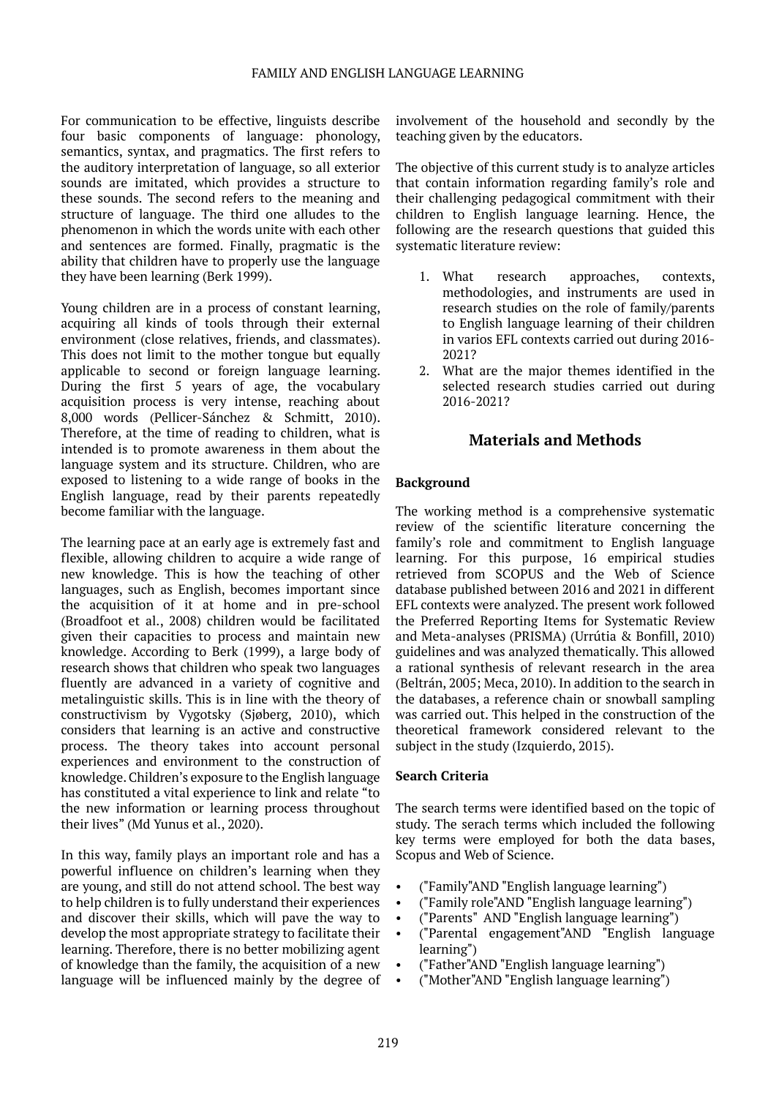For communication to be effective, linguists describe four basic components of language: phonology, semantics, syntax, and pragmatics. The first refers to the auditory interpretation of language, so all exterior sounds are imitated, which provides a structure to these sounds. The second refers to the meaning and structure of language. The third one alludes to the phenomenon in which the words unite with each other and sentences are formed. Finally, pragmatic is the ability that children have to properly use the language they have been learning (Berk 1999).

Young children are in a process of constant learning, acquiring all kinds of tools through their external environment (close relatives, friends, and classmates). This does not limit to the mother tongue but equally applicable to second or foreign language learning. During the first 5 years of age, the vocabulary acquisition process is very intense, reaching about 8,000 words (Pellicer-Sánchez & Schmitt, 2010). Therefore, at the time of reading to children, what is intended is to promote awareness in them about the language system and its structure. Children, who are exposed to listening to a wide range of books in the English language, read by their parents repeatedly become familiar with the language.

The learning pace at an early age is extremely fast and flexible, allowing children to acquire a wide range of new knowledge. This is how the teaching of other languages, such as English, becomes important since the acquisition of it at home and in pre-school (Broadfoot et al., 2008) children would be facilitated given their capacities to process and maintain new knowledge. According to Berk (1999), a large body of research shows that children who speak two languages fluently are advanced in a variety of cognitive and metalinguistic skills. This is in line with the theory of constructivism by Vygotsky (Sjøberg, 2010), which considers that learning is an active and constructive process. The theory takes into account personal experiences and environment to the construction of knowledge. Children's exposure to the English language has constituted a vital experience to link and relate "to the new information or learning process throughout their lives" (Md Yunus et al., 2020).

In this way, family plays an important role and has a powerful influence on children's learning when they are young, and still do not attend school. The best way to help children is to fully understand their experiences and discover their skills, which will pave the way to develop the most appropriate strategy to facilitate their learning. Therefore, there is no better mobilizing agent of knowledge than the family, the acquisition of a new language will be influenced mainly by the degree of involvement of the household and secondly by the teaching given by the educators.

The objective of this current study is to analyze articles that contain information regarding family's role and their challenging pedagogical commitment with their children to English language learning. Hence, the following are the research questions that guided this systematic literature review:

- 1. What research approaches, contexts, methodologies, and instruments are used in research studies on the role of family/parents to English language learning of their children in varios EFL contexts carried out during 2016- 2021?
- 2. What are the major themes identified in the selected research studies carried out during 2016-2021?

# **Materials and Methods**

### **Background**

The working method is a comprehensive systematic review of the scientific literature concerning the family's role and commitment to English language learning. For this purpose, 16 empirical studies retrieved from SCOPUS and the Web of Science database published between 2016 and 2021 in different EFL contexts were analyzed. The present work followed the Preferred Reporting Items for Systematic Review and Meta-analyses (PRISMA) (Urrútia & Bonfill, 2010) guidelines and was analyzed thematically. This allowed a rational synthesis of relevant research in the area (Beltrán, 2005; Meca, 2010). In addition to the search in the databases, a reference chain or snowball sampling was carried out. This helped in the construction of the theoretical framework considered relevant to the subject in the study (Izquierdo, 2015).

### **Search Criteria**

The search terms were identified based on the topic of study. The serach terms which included the following key terms were employed for both the data bases, Scopus and Web of Science.

- ("Family"AND "English language learning")
- ("Family role"AND "English language learning")
- ("Parents" AND "English language learning")
- ("Parental engagement"AND "English language learning")
- ("Father"AND "English language learning")
- ("Mother"AND "English language learning")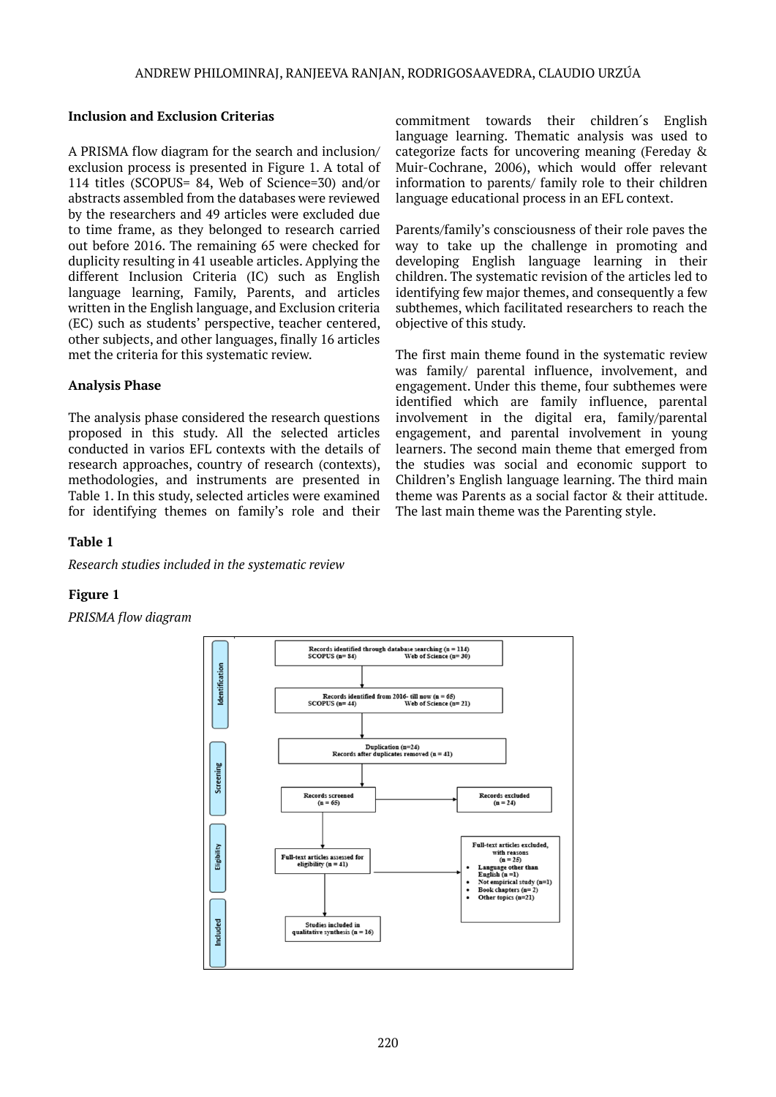### **Inclusion and Exclusion Criterias**

A PRISMA flow diagram for the search and inclusion/ exclusion process is presented in Figure 1. A total of 114 titles (SCOPUS= 84, Web of Science=30) and/or abstracts assembled from the databases were reviewed by the researchers and 49 articles were excluded due to time frame, as they belonged to research carried out before 2016. The remaining 65 were checked for duplicity resulting in 41 useable articles. Applying the different Inclusion Criteria (IC) such as English language learning, Family, Parents, and articles written in the English language, and Exclusion criteria (EC) such as students' perspective, teacher centered, other subjects, and other languages, finally 16 articles met the criteria for this systematic review.

### **Analysis Phase**

The analysis phase considered the research questions proposed in this study. All the selected articles conducted in varios EFL contexts with the details of research approaches, country of research (contexts), methodologies, and instruments are presented in Table 1. In this study, selected articles were examined for identifying themes on family's role and their commitment towards their children´s English language learning. Thematic analysis was used to categorize facts for uncovering meaning (Fereday & Muir-Cochrane, 2006), which would offer relevant information to parents/ family role to their children language educational process in an EFL context.

Parents/family's consciousness of their role paves the way to take up the challenge in promoting and developing English language learning in their children. The systematic revision of the articles led to identifying few major themes, and consequently a few subthemes, which facilitated researchers to reach the objective of this study.

The first main theme found in the systematic review was family/ parental influence, involvement, and engagement. Under this theme, four subthemes were identified which are family influence, parental involvement in the digital era, family/parental engagement, and parental involvement in young learners. The second main theme that emerged from the studies was social and economic support to Children's English language learning. The third main theme was Parents as a social factor & their attitude. The last main theme was the Parenting style.

### **Table 1**

*Research studies included in the systematic review*

### **Figure 1**

*PRISMA flow diagram*

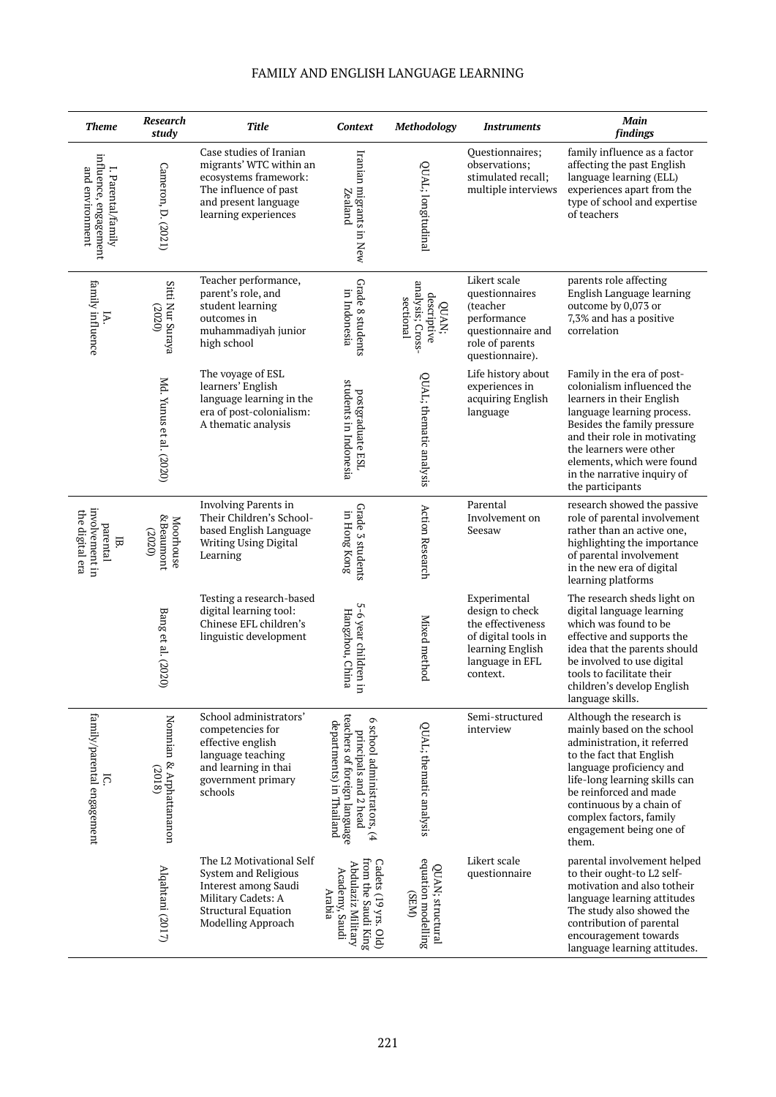| <b>Theme</b>                                                   | Research<br>study                           | Title                                                                                                                                                | Context                                                                                                          | Methodology                                           | <b>Instruments</b>                                                                                                             | Main<br>findings                                                                                                                                                                                                                                                                                    |
|----------------------------------------------------------------|---------------------------------------------|------------------------------------------------------------------------------------------------------------------------------------------------------|------------------------------------------------------------------------------------------------------------------|-------------------------------------------------------|--------------------------------------------------------------------------------------------------------------------------------|-----------------------------------------------------------------------------------------------------------------------------------------------------------------------------------------------------------------------------------------------------------------------------------------------------|
| influence, engagement<br>I. Parental/family<br>and environment | Cameron, D. (2021)                          | Case studies of Iranian<br>migrants' WTC within an<br>ecosystems framework:<br>The influence of past<br>and present language<br>learning experiences | Iranian migrants in New<br>Zealand                                                                               | QUAL; longitudinal                                    | Questionnaires;<br>observations;<br>stimulated recall;<br>multiple interviews                                                  | family influence as a factor<br>affecting the past English<br>language learning (ELL)<br>experiences apart from the<br>type of school and expertise<br>of teachers                                                                                                                                  |
| family influence<br>Þ.                                         | Sitti Nur Suraya<br>(2020)                  | Teacher performance,<br>parent's role, and<br>student learning<br>outcomes in<br>muhammadiyah junior<br>high school                                  | Grade 8 students<br>in Indonesia                                                                                 | analysis; Cross-<br>descriptive<br>sectional<br>QUAN; | Likert scale<br>questionnaires<br>(teacher<br>performance<br>questionnaire and<br>role of parents<br>questionnaire).           | parents role affecting<br>English Language learning<br>outcome by 0,073 or<br>7,3% and has a positive<br>correlation                                                                                                                                                                                |
|                                                                | Md. Yunus et al. (2020)                     | The voyage of ESL<br>learners' English<br>language learning in the<br>era of post-colonialism:<br>A thematic analysis                                | students in Indonesia<br>postgraduate ESL                                                                        | QUAL; thematic analysis                               | Life history about<br>experiences in<br>acquiring English<br>language                                                          | Family in the era of post-<br>colonialism influenced the<br>learners in their English<br>language learning process.<br>Besides the family pressure<br>and their role in motivating<br>the learners were other<br>elements, which were found<br>in the narrative inquiry of<br>the participants      |
| involvement in<br>the digital era<br>parental<br>Ε.            | <b>&amp;Beaumont</b><br>Moorhouse<br>(2020) | Involving Parents in<br>Their Children's School-<br>based English Language<br>Writing Using Digital<br>Learning                                      | Grade 3 students<br>in Hong Kong                                                                                 | <b>Action Research</b>                                | Parental<br>Involvement on<br>Seesaw                                                                                           | research showed the passive<br>role of parental involvement<br>rather than an active one,<br>highlighting the importance<br>of parental involvement<br>in the new era of digital<br>learning platforms                                                                                              |
|                                                                | Bang et al. (2020)                          | Testing a research-based<br>digital learning tool:<br>Chinese EFL children's<br>linguistic development                                               | 5-6 year children in<br>Hangzhou, China                                                                          | Mixed method                                          | Experimental<br>design to check<br>the effectiveness<br>of digital tools in<br>learning English<br>language in EFL<br>context. | The research sheds light on<br>digital language learning<br>which was found to be<br>effective and supports the<br>idea that the parents should<br>be involved to use digital<br>tools to facilitate their<br>children's develop English<br>language skills.                                        |
| family/parental engagement<br>ក                                | Nomnian & Arphattananon<br>(2018)           | School administrators'<br>competencies for<br>effective english<br>language teaching<br>and learning in thai<br>government primary<br>schools        | teachers of foreign language<br>6 school administrators, (4<br>principals and 2 head<br>departments) in Thailand | QUAL; thematic analysis                               | Semi-structured<br>interview                                                                                                   | Although the research is<br>mainly based on the school<br>administration, it referred<br>to the fact that English<br>language proficiency and<br>life-long learning skills can<br>be reinforced and made<br>continuous by a chain of<br>complex factors, family<br>engagement being one of<br>them. |
|                                                                | Alqahtani (2017)                            | The L2 Motivational Self<br>System and Religious<br>Interest among Saudi<br>Military Cadets: A<br><b>Structural Equation</b><br>Modelling Approach   | from the Saudi King<br>Cadets (19 yrs. Old)<br>Abdulaziz Military<br>Academy, Saudi<br>Arabia                    | equation modelling<br>QUAN; structural<br>(NHS)       | Likert scale<br>questionnaire                                                                                                  | parental involvement helped<br>to their ought-to L2 self-<br>motivation and also totheir<br>language learning attitudes<br>The study also showed the<br>contribution of parental<br>encouragement towards<br>language learning attitudes.                                                           |

# FAMILY AND ENGLISH LANGUAGE LEARNING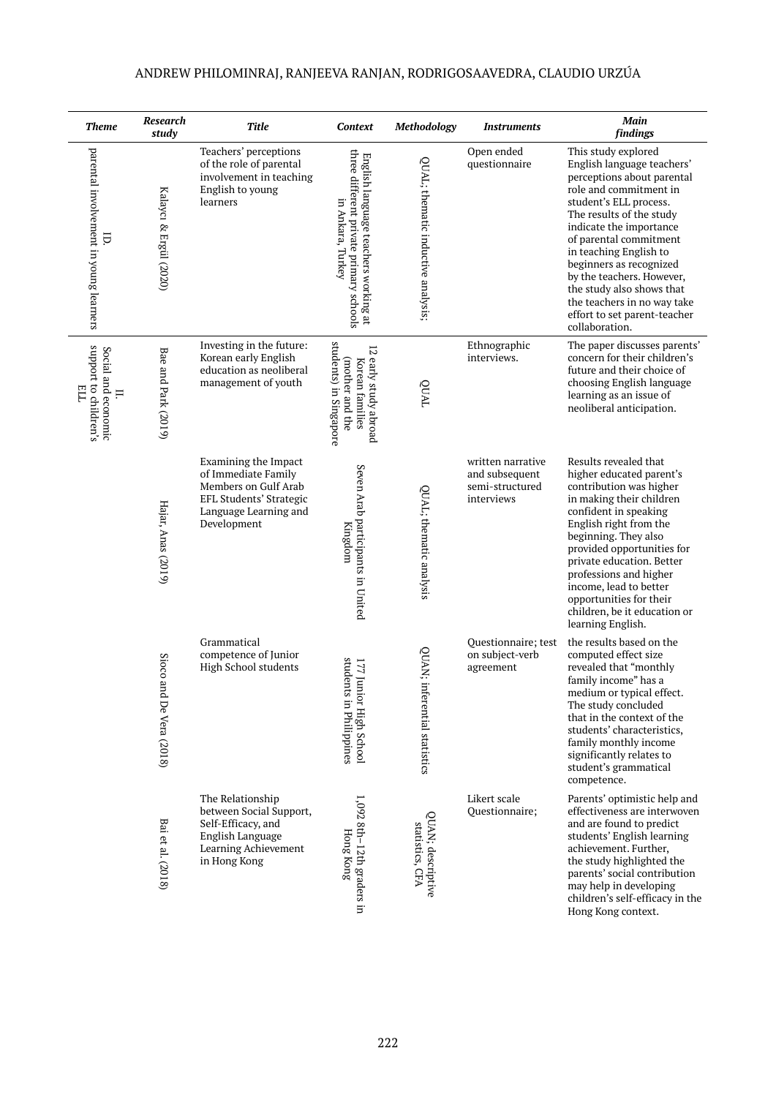| <b>Theme</b>                                            | Research<br>study           | Title                                                                                                                                         | <b>Context</b>                                                                                       | Methodology                          | <b>Instruments</b>                                                   | Main<br>findings                                                                                                                                                                                                                                                                                                                                                                                                     |
|---------------------------------------------------------|-----------------------------|-----------------------------------------------------------------------------------------------------------------------------------------------|------------------------------------------------------------------------------------------------------|--------------------------------------|----------------------------------------------------------------------|----------------------------------------------------------------------------------------------------------------------------------------------------------------------------------------------------------------------------------------------------------------------------------------------------------------------------------------------------------------------------------------------------------------------|
| parental involvement in young learners<br>i,            | Kalaycı & Ergül (2020)      | Teachers' perceptions<br>of the role of parental<br>involvement in teaching<br>English to young<br>learners                                   | three different private primary schools<br>English language teachers working at<br>in Ankara, Turkey | QUAL; thematic inductive analysis;   | Open ended<br>questionnaire                                          | This study explored<br>English language teachers'<br>perceptions about parental<br>role and commitment in<br>student's ELL process.<br>The results of the study<br>indicate the importance<br>of parental commitment<br>in teaching English to<br>beginners as recognized<br>by the teachers. However,<br>the study also shows that<br>the teachers in no way take<br>effort to set parent-teacher<br>collaboration. |
| support to children's<br>Social and economic<br>Ë<br>Ξ. | Bae and Park (2019)         | Investing in the future:<br>Korean early English<br>education as neoliberal<br>management of youth                                            | students) in Singapore<br>12 early study abroad<br>(mother and the<br>Korean families                | TVNÕ                                 | Ethnographic<br>interviews.                                          | The paper discusses parents'<br>concern for their children's<br>future and their choice of<br>choosing English language<br>learning as an issue of<br>neoliberal anticipation.                                                                                                                                                                                                                                       |
|                                                         | Hajar, Anas (2019)          | <b>Examining the Impact</b><br>of Immediate Family<br>Members on Gulf Arab<br>EFL Students' Strategic<br>Language Learning and<br>Development | Seven Arab participants in United<br>Kingdom                                                         | QUAL; thematic analysis              | written narrative<br>and subsequent<br>semi-structured<br>interviews | Results revealed that<br>higher educated parent's<br>contribution was higher<br>in making their children<br>confident in speaking<br>English right from the<br>beginning. They also<br>provided opportunities for<br>private education. Better<br>professions and higher<br>income, lead to better<br>opportunities for their<br>children, be it education or<br>learning English.                                   |
|                                                         | Sioco anc<br>De Vera (2018) | Grammatical<br>competence of Junior<br>High School students                                                                                   | students in Philippines<br>irul 771<br>or High School                                                | QUAN; inferential statistics         | Questionnaire; test<br>on subject-verb<br>agreement                  | the results based on the<br>computed effect size<br>revealed that "monthly<br>family income" has a<br>medium or typical effect.<br>The study concluded<br>that in the context of the<br>students' characteristics,<br>family monthly income<br>significantly relates to<br>student's grammatical<br>competence.                                                                                                      |
|                                                         | Bai et al. (2018)           | The Relationship<br>between Social Support,<br>Self-Efficacy, and<br>English Language<br>Learning Achievement<br>in Hong Kong                 | 1,092 8th-12th graders in<br><b>Hong Kong</b>                                                        | QUAN; descriptive<br>statistics, CFA | Likert scale<br>Ouestionnaire:                                       | Parents' optimistic help and<br>effectiveness are interwoven<br>and are found to predict<br>students' English learning<br>achievement. Further,<br>the study highlighted the<br>parents' social contribution<br>may help in developing<br>children's self-efficacy in the<br>Hong Kong context.                                                                                                                      |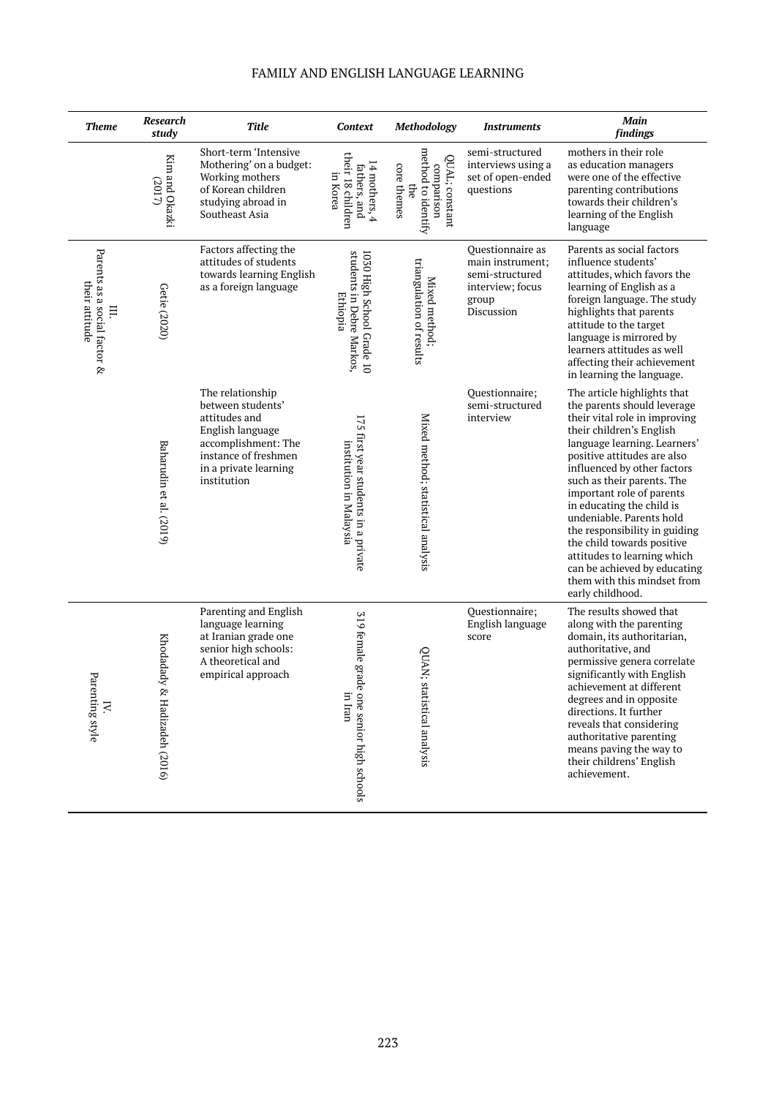| <b>Theme</b>                                         | Research<br>study               | Title                                                                                                                                                             | Context                                                            | Methodology                                                              | <i><u><b>Instruments</b></u></i>                                                                   | Main<br>findings                                                                                                                                                                                                                                                                                                                                                                                                                                                                                                           |
|------------------------------------------------------|---------------------------------|-------------------------------------------------------------------------------------------------------------------------------------------------------------------|--------------------------------------------------------------------|--------------------------------------------------------------------------|----------------------------------------------------------------------------------------------------|----------------------------------------------------------------------------------------------------------------------------------------------------------------------------------------------------------------------------------------------------------------------------------------------------------------------------------------------------------------------------------------------------------------------------------------------------------------------------------------------------------------------------|
|                                                      | Kim and Okazki<br>(2017)        | Short-term 'Intensive<br>Mothering' on a budget:<br>Working mothers<br>of Korean children<br>studying abroad in<br>Southeast Asia                                 | their 18 children<br>14 mothers, 4<br>fathers, and<br>in Korea     | method to identify<br>QUAL; constant<br>core themes<br>comparison<br>the | semi-structured<br>interviews using a<br>set of open-ended<br>questions                            | mothers in their role<br>as education managers<br>were one of the effective<br>parenting contributions<br>towards their children's<br>learning of the English<br>language                                                                                                                                                                                                                                                                                                                                                  |
| Parents as a social factor &<br>their attitude<br>Ξ. | Getie (2020)                    | Factors affecting the<br>attitudes of students<br>towards learning English<br>as a foreign language                                                               | 1030 High School Grade 10<br>students in Debre Markos,<br>Ethiopia | triangulation of results<br>Mixed method;                                | Ouestionnaire as<br>main instrument;<br>semi-structured<br>interview; focus<br>group<br>Discussion | Parents as social factors<br>influence students'<br>attitudes, which favors the<br>learning of English as a<br>foreign language. The study<br>highlights that parents<br>attitude to the target<br>language is mirrored by<br>learners attitudes as well<br>affecting their achievement<br>in learning the language.                                                                                                                                                                                                       |
|                                                      | Baharudin et al. (2019)         | The relationship<br>between students'<br>attitudes and<br>English language<br>accomplishment: The<br>instance of freshmen<br>in a private learning<br>institution | 175 first year students in a private<br>institution in Malaysia    | Mixed method; statistical analysis                                       | Questionnaire;<br>semi-structured<br>interview                                                     | The article highlights that<br>the parents should leverage<br>their vital role in improving<br>their children's English<br>language learning. Learners'<br>positive attitudes are also<br>influenced by other factors<br>such as their parents. The<br>important role of parents<br>in educating the child is<br>undeniable. Parents hold<br>the responsibility in guiding<br>the child towards positive<br>attitudes to learning which<br>can be achieved by educating<br>them with this mindset from<br>early childhood. |
| Pare<br>nting style<br>IV.                           | Khodadady<br>& Hadizadeh (2016) | Parenting and English<br>language learning<br>at Iranian grade one<br>senior high schools:<br>A theoretical and<br>empirical approach                             | 319 female grade<br>in Iran<br>one senior high schools             | QUAN; statistical analysis                                               | Questionnaire;<br>English language<br>score                                                        | The results showed that<br>along with the parenting<br>domain, its authoritarian,<br>authoritative, and<br>permissive genera correlate<br>significantly with English<br>achievement at different<br>degrees and in opposite<br>directions. It further<br>reveals that considering<br>authoritative parenting<br>means paving the way to<br>their childrens' English<br>achievement.                                                                                                                                        |

# FAMILY AND ENGLISH LANGUAGE LEARNING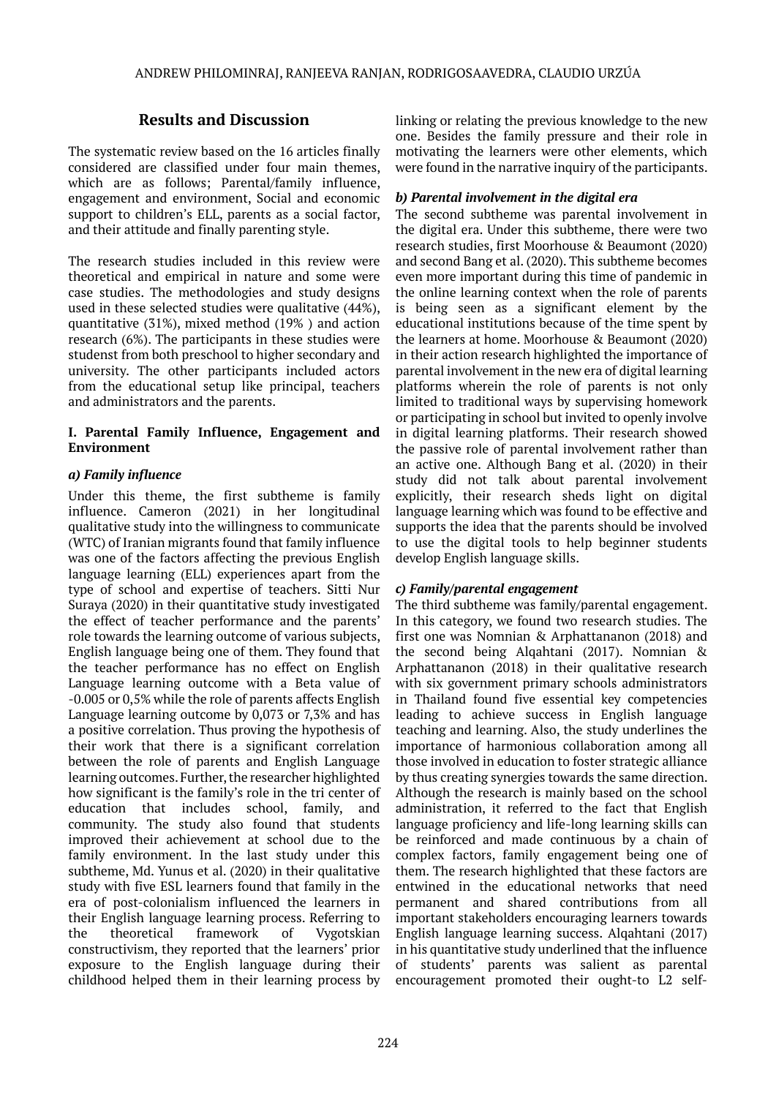# **Results and Discussion**

The systematic review based on the 16 articles finally considered are classified under four main themes, which are as follows; Parental/family influence, engagement and environment, Social and economic support to children's ELL, parents as a social factor, and their attitude and finally parenting style.

The research studies included in this review were theoretical and empirical in nature and some were case studies. The methodologies and study designs used in these selected studies were qualitative (44%), quantitative (31%), mixed method (19% ) and action research (6%). The participants in these studies were studenst from both preschool to higher secondary and university. The other participants included actors from the educational setup like principal, teachers and administrators and the parents.

### **I. Parental Family Influence, Engagement and Environment**

# *a) Family influence*

Under this theme, the first subtheme is family influence. Cameron (2021) in her longitudinal qualitative study into the willingness to communicate (WTC) of Iranian migrants found that family influence was one of the factors affecting the previous English language learning (ELL) experiences apart from the type of school and expertise of teachers. Sitti Nur Suraya (2020) in their quantitative study investigated the effect of teacher performance and the parents' role towards the learning outcome of various subjects, English language being one of them. They found that the teacher performance has no effect on English Language learning outcome with a Beta value of -0.005 or 0,5% while the role of parents affects English Language learning outcome by 0,073 or 7,3% and has a positive correlation. Thus proving the hypothesis of their work that there is a significant correlation between the role of parents and English Language learning outcomes. Further, the researcher highlighted how significant is the family's role in the tri center of education that includes school, family, and community. The study also found that students improved their achievement at school due to the family environment. In the last study under this subtheme, Md. Yunus et al. (2020) in their qualitative study with five ESL learners found that family in the era of post-colonialism influenced the learners in their English language learning process. Referring to the theoretical framework of Vygotskian constructivism, they reported that the learners' prior exposure to the English language during their childhood helped them in their learning process by

linking or relating the previous knowledge to the new one. Besides the family pressure and their role in motivating the learners were other elements, which were found in the narrative inquiry of the participants.

### *b) Parental involvement in the digital era*

The second subtheme was parental involvement in the digital era. Under this subtheme, there were two research studies, first Moorhouse & Beaumont (2020) and second Bang et al. (2020). This subtheme becomes even more important during this time of pandemic in the online learning context when the role of parents is being seen as a significant element by the educational institutions because of the time spent by the learners at home. Moorhouse & Beaumont (2020) in their action research highlighted the importance of parental involvement in the new era of digital learning platforms wherein the role of parents is not only limited to traditional ways by supervising homework or participating in school but invited to openly involve in digital learning platforms. Their research showed the passive role of parental involvement rather than an active one. Although Bang et al. (2020) in their study did not talk about parental involvement explicitly, their research sheds light on digital language learning which was found to be effective and supports the idea that the parents should be involved to use the digital tools to help beginner students develop English language skills.

# *c) Family/parental engagement*

The third subtheme was family/parental engagement. In this category, we found two research studies. The first one was Nomnian & Arphattananon (2018) and the second being Alqahtani (2017). Nomnian & Arphattananon (2018) in their qualitative research with six government primary schools administrators in Thailand found five essential key competencies leading to achieve success in English language teaching and learning. Also, the study underlines the importance of harmonious collaboration among all those involved in education to foster strategic alliance by thus creating synergies towards the same direction. Although the research is mainly based on the school administration, it referred to the fact that English language proficiency and life-long learning skills can be reinforced and made continuous by a chain of complex factors, family engagement being one of them. The research highlighted that these factors are entwined in the educational networks that need permanent and shared contributions from all important stakeholders encouraging learners towards English language learning success. Alqahtani (2017) in his quantitative study underlined that the influence of students' parents was salient as parental encouragement promoted their ought-to L2 self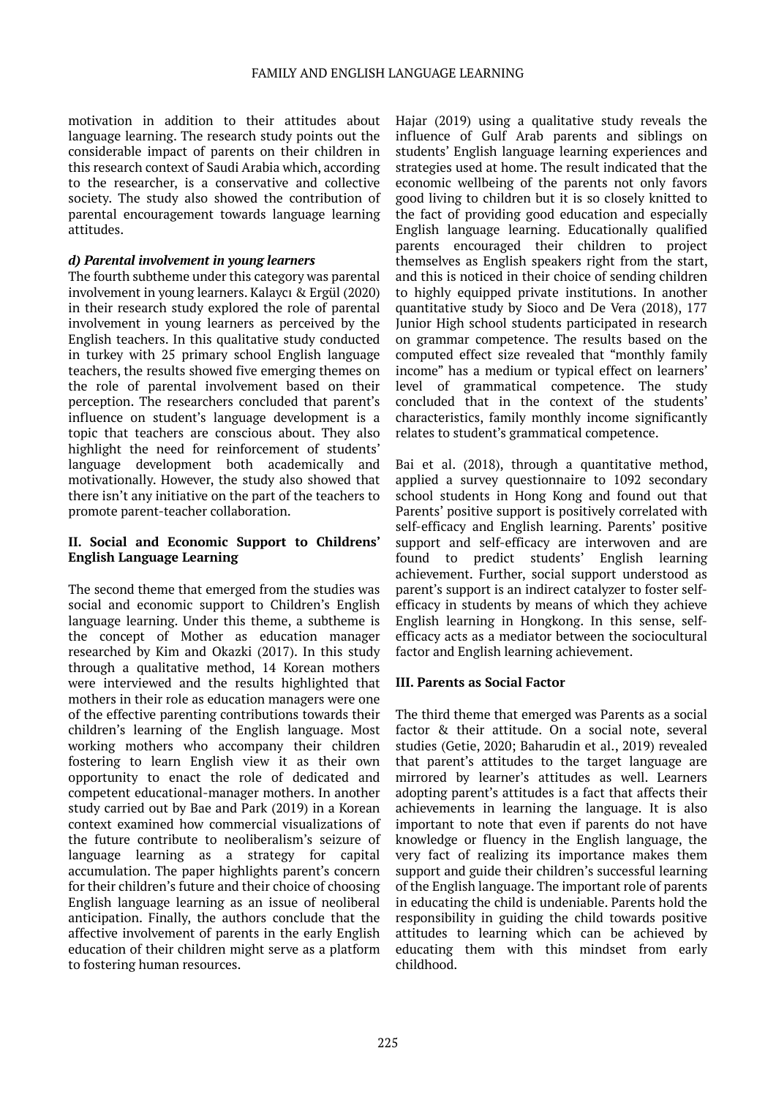motivation in addition to their attitudes about language learning. The research study points out the considerable impact of parents on their children in this research context of Saudi Arabia which, according to the researcher, is a conservative and collective society. The study also showed the contribution of parental encouragement towards language learning attitudes.

#### *d) Parental involvement in young learners*

The fourth subtheme under this category was parental involvement in young learners. Kalaycı & Ergül (2020) in their research study explored the role of parental involvement in young learners as perceived by the English teachers. In this qualitative study conducted in turkey with 25 primary school English language teachers, the results showed five emerging themes on the role of parental involvement based on their perception. The researchers concluded that parent's influence on student's language development is a topic that teachers are conscious about. They also highlight the need for reinforcement of students' language development both academically and motivationally. However, the study also showed that there isn't any initiative on the part of the teachers to promote parent-teacher collaboration.

### **II. Social and Economic Support to Childrens' English Language Learning**

The second theme that emerged from the studies was social and economic support to Children's English language learning. Under this theme, a subtheme is the concept of Mother as education manager researched by Kim and Okazki (2017). In this study through a qualitative method, 14 Korean mothers were interviewed and the results highlighted that mothers in their role as education managers were one of the effective parenting contributions towards their children's learning of the English language. Most working mothers who accompany their children fostering to learn English view it as their own opportunity to enact the role of dedicated and competent educational-manager mothers. In another study carried out by Bae and Park (2019) in a Korean context examined how commercial visualizations of the future contribute to neoliberalism's seizure of language learning as a strategy for capital accumulation. The paper highlights parent's concern for their children's future and their choice of choosing English language learning as an issue of neoliberal anticipation. Finally, the authors conclude that the affective involvement of parents in the early English education of their children might serve as a platform to fostering human resources.

Hajar (2019) using a qualitative study reveals the influence of Gulf Arab parents and siblings on students' English language learning experiences and strategies used at home. The result indicated that the economic wellbeing of the parents not only favors good living to children but it is so closely knitted to the fact of providing good education and especially English language learning. Educationally qualified parents encouraged their children to project themselves as English speakers right from the start, and this is noticed in their choice of sending children to highly equipped private institutions. In another quantitative study by Sioco and De Vera (2018), 177 Junior High school students participated in research on grammar competence. The results based on the computed effect size revealed that "monthly family income" has a medium or typical effect on learners' level of grammatical competence. The study concluded that in the context of the students' characteristics, family monthly income significantly relates to student's grammatical competence.

Bai et al. (2018), through a quantitative method, applied a survey questionnaire to 1092 secondary school students in Hong Kong and found out that Parents' positive support is positively correlated with self-efficacy and English learning. Parents' positive support and self-efficacy are interwoven and are found to predict students' English learning achievement. Further, social support understood as parent's support is an indirect catalyzer to foster selfefficacy in students by means of which they achieve English learning in Hongkong. In this sense, selfefficacy acts as a mediator between the sociocultural factor and English learning achievement.

### **III. Parents as Social Factor**

The third theme that emerged was Parents as a social factor & their attitude. On a social note, several studies (Getie, 2020; Baharudin et al., 2019) revealed that parent's attitudes to the target language are mirrored by learner's attitudes as well. Learners adopting parent's attitudes is a fact that affects their achievements in learning the language. It is also important to note that even if parents do not have knowledge or fluency in the English language, the very fact of realizing its importance makes them support and guide their children's successful learning of the English language. The important role of parents in educating the child is undeniable. Parents hold the responsibility in guiding the child towards positive attitudes to learning which can be achieved by educating them with this mindset from early childhood.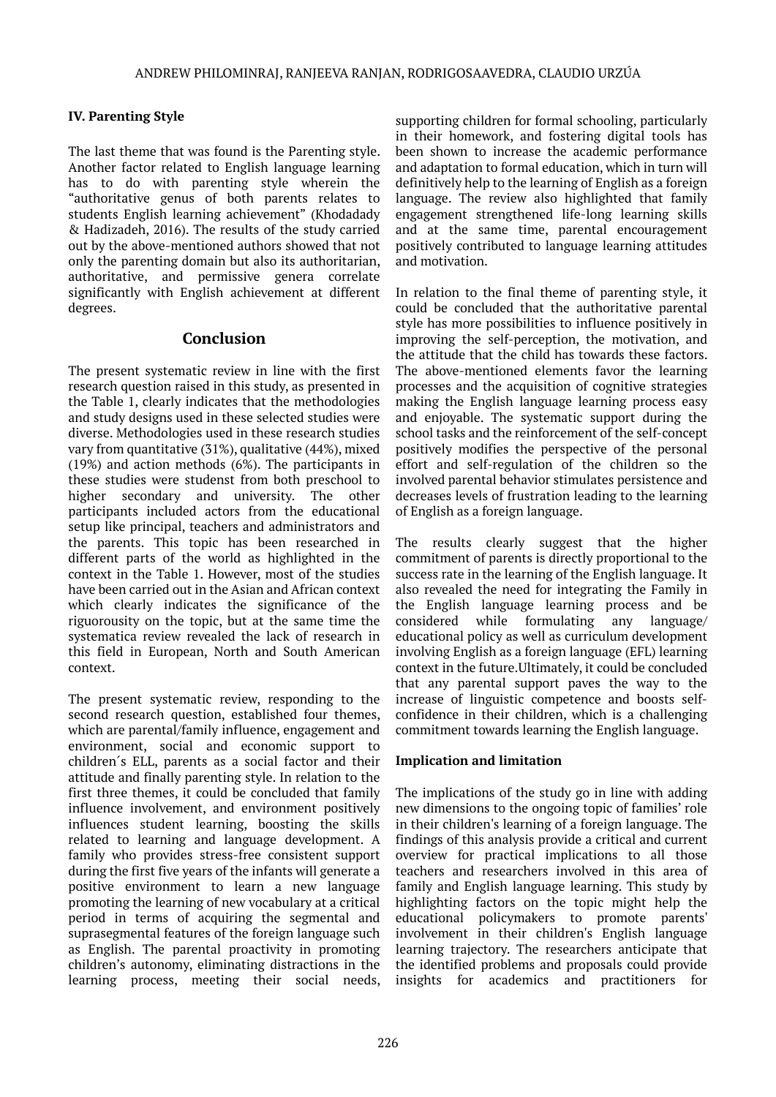# **IV. Parenting Style**

The last theme that was found is the Parenting style. Another factor related to English language learning has to do with parenting style wherein the "authoritative genus of both parents relates to students English learning achievement" (Khodadady & Hadizadeh, 2016). The results of the study carried out by the above-mentioned authors showed that not only the parenting domain but also its authoritarian, authoritative, and permissive genera correlate significantly with English achievement at different degrees.

# **Conclusion**

The present systematic review in line with the first research question raised in this study, as presented in the Table 1, clearly indicates that the methodologies and study designs used in these selected studies were diverse. Methodologies used in these research studies vary from quantitative (31%), qualitative (44%), mixed (19%) and action methods (6%). The participants in these studies were studenst from both preschool to higher secondary and university. The other participants included actors from the educational setup like principal, teachers and administrators and the parents. This topic has been researched in different parts of the world as highlighted in the context in the Table 1. However, most of the studies have been carried out in the Asian and African context which clearly indicates the significance of the riguorousity on the topic, but at the same time the systematica review revealed the lack of research in this field in European, North and South American context.

The present systematic review, responding to the second research question, established four themes, which are parental/family influence, engagement and environment, social and economic support to children´s ELL, parents as a social factor and their attitude and finally parenting style. In relation to the first three themes, it could be concluded that family influence involvement, and environment positively influences student learning, boosting the skills related to learning and language development. A family who provides stress-free consistent support during the first five years of the infants will generate a positive environment to learn a new language promoting the learning of new vocabulary at a critical period in terms of acquiring the segmental and suprasegmental features of the foreign language such as English. The parental proactivity in promoting children's autonomy, eliminating distractions in the learning process, meeting their social needs,

supporting children for formal schooling, particularly in their homework, and fostering digital tools has been shown to increase the academic performance and adaptation to formal education, which in turn will definitively help to the learning of English as a foreign language. The review also highlighted that family engagement strengthened life-long learning skills and at the same time, parental encouragement positively contributed to language learning attitudes and motivation.

In relation to the final theme of parenting style, it could be concluded that the authoritative parental style has more possibilities to influence positively in improving the self-perception, the motivation, and the attitude that the child has towards these factors. The above-mentioned elements favor the learning processes and the acquisition of cognitive strategies making the English language learning process easy and enjoyable. The systematic support during the school tasks and the reinforcement of the self-concept positively modifies the perspective of the personal effort and self-regulation of the children so the involved parental behavior stimulates persistence and decreases levels of frustration leading to the learning of English as a foreign language.

The results clearly suggest that the higher commitment of parents is directly proportional to the success rate in the learning of the English language. It also revealed the need for integrating the Family in the English language learning process and be considered while formulating any language/ educational policy as well as curriculum development involving English as a foreign language (EFL) learning context in the future.Ultimately, it could be concluded that any parental support paves the way to the increase of linguistic competence and boosts selfconfidence in their children, which is a challenging commitment towards learning the English language.

### **Implication and limitation**

The implications of the study go in line with adding new dimensions to the ongoing topic of families' role in their children's learning of a foreign language. The findings of this analysis provide a critical and current overview for practical implications to all those teachers and researchers involved in this area of family and English language learning. This study by highlighting factors on the topic might help the educational policymakers to promote parents' involvement in their children's English language learning trajectory. The researchers anticipate that the identified problems and proposals could provide insights for academics and practitioners for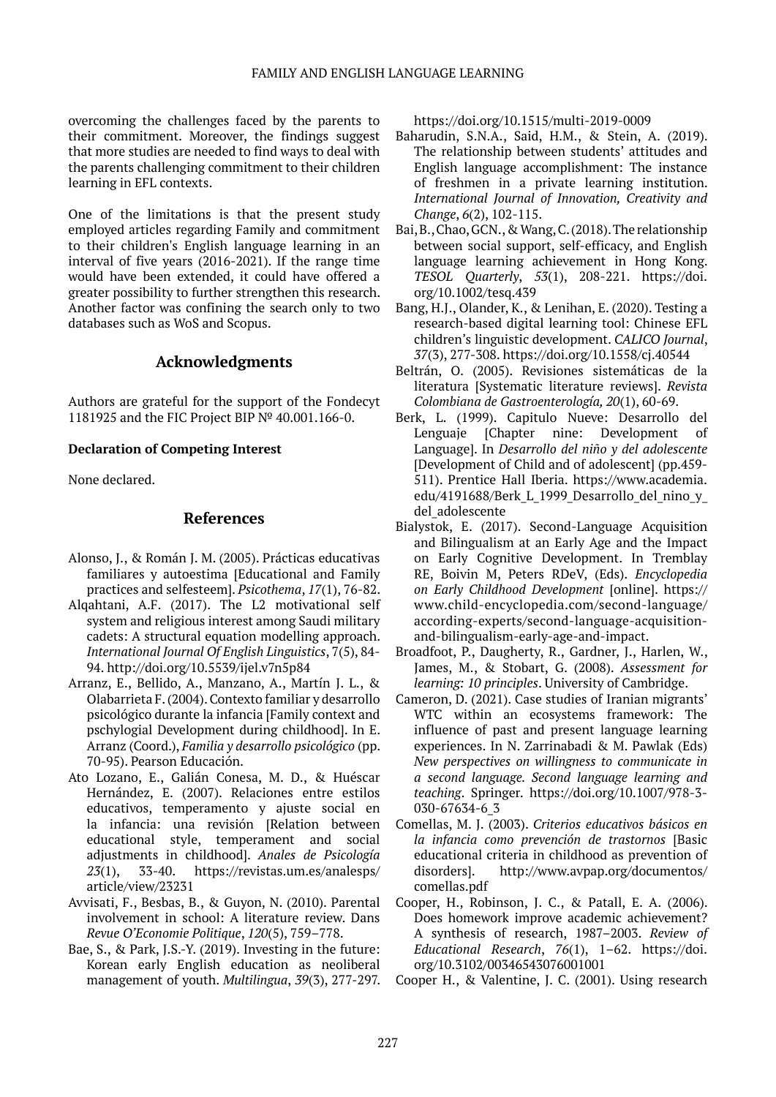overcoming the challenges faced by the parents to their commitment. Moreover, the findings suggest that more studies are needed to find ways to deal with the parents challenging commitment to their children learning in EFL contexts.

One of the limitations is that the present study employed articles regarding Family and commitment to their children's English language learning in an interval of five years (2016-2021). If the range time would have been extended, it could have offered a greater possibility to further strengthen this research. Another factor was confining the search only to two databases such as WoS and Scopus.

### **Acknowledgments**

Authors are grateful for the support of the Fondecyt 1181925 and the FIC Project BIP № 40.001.166-0.

#### **Declaration of Competing Interest**

None declared.

### **References**

- Alonso, J., & Román J. M. (2005). Prácticas educativas familiares y autoestima [Educational and Family practices and selfesteem]. *Psicothema*, *17*(1), 76-82.
- Alqahtani, A.F. (2017). The L2 motivational self system and religious interest among Saudi military cadets: A structural equation modelling approach. *International Journal Of English Linguistics*, 7(5), 84- 94. http://doi.org/10.5539/ijel.v7n5p84
- Arranz, E., Bellido, A., Manzano, A., Martín J. L., & Olabarrieta F. (2004). Contexto familiar y desarrollo psicológico durante la infancia [Family context and pschylogial Development during childhood]. In E. Arranz (Coord.), *Familia y desarrollo psicológico* (pp. 70-95). Pearson Educación.
- Ato Lozano, E., Galián Conesa, M. D., & Huéscar Hernández, E. (2007). Relaciones entre estilos educativos, temperamento y ajuste social en la infancia: una revisión [Relation between educational style, temperament and social adjustments in childhood]. *Anales de Psicología 23*(1), 33-40. [https://revistas.um.es/analesps/](https://revistas.um.es/analesps/article/view/23231) [article/view/23231](https://revistas.um.es/analesps/article/view/23231)
- Avvisati, F., Besbas, B., & Guyon, N. (2010). Parental involvement in school: A literature review. Dans *Revue O'Economie Politique*, *120*(5), 759–778.
- Bae, S., & Park, J.S.-Y. (2019). Investing in the future: Korean early English education as neoliberal management of youth. *Multilingua*, *39*(3), 277-297.

<https://doi.org/10.1515/multi-2019-0009>

- Baharudin, S.N.A., Said, H.M., & Stein, A. (2019). The relationship between students' attitudes and English language accomplishment: The instance of freshmen in a private learning institution. *International Journal of Innovation, Creativity and Change*, *6*(2), 102-115.
- Bai, B., Chao, GCN., & Wang, C. (2018). The relationship between social support, self-efficacy, and English language learning achievement in Hong Kong. *TESOL Quarterly*, *53*(1), 208-221. [https://doi.](https://doi.org/10.1002/tesq.439) [org/10.1002/tesq.439](https://doi.org/10.1002/tesq.439)
- Bang, H.J., Olander, K., & Lenihan, E. (2020). Testing a research-based digital learning tool: Chinese EFL children's linguistic development. *CALICO Journal*, *37*(3), 277-308. <https://doi.org/10.1558/cj.40544>
- Beltrán, O. (2005). Revisiones sistemáticas de la literatura [Systematic literature reviews]. *Revista Colombiana de Gastroenterología, 20*(1), 60-69.
- Berk, L. (1999). Capitulo Nueve: Desarrollo del Lenguaje [Chapter nine: Development of Language]. In *Desarrollo del niño y del adolescente* [Development of Child and of adolescent] (pp.459- 511). Prentice Hall Iberia. [https://www.academia.](https://www.academia.edu/4191688/Berk_L_1999_Desarrollo_del_nino_y_del_adolescente) edu/4191688/Berk L 1999 Desarrollo del nino y del adolescente
- Bialystok, E. (2017). Second-Language Acquisition and Bilingualism at an Early Age and the Impact on Early Cognitive Development. In Tremblay RE, Boivin M, Peters RDeV, (Eds). *Encyclopedia on Early Childhood Development* [online]. [https://](https://www.child-encyclopedia.com/second-language/according-experts/second-language-acquisition-and-bilingualism-early-age-and-impact) [www.child-encyclopedia.com/second-language/](https://www.child-encyclopedia.com/second-language/according-experts/second-language-acquisition-and-bilingualism-early-age-and-impact) [according-experts/second-language-acquisition](https://www.child-encyclopedia.com/second-language/according-experts/second-language-acquisition-and-bilingualism-early-age-and-impact)[and-bilingualism-early-age-and-impact](https://www.child-encyclopedia.com/second-language/according-experts/second-language-acquisition-and-bilingualism-early-age-and-impact).
- Broadfoot, P., Daugherty, R., Gardner, J., Harlen, W., James, M., & Stobart, G. (2008). *Assessment for learning: 10 principles*. University of Cambridge.
- Cameron, D. (2021). Case studies of Iranian migrants' WTC within an ecosystems framework: The influence of past and present language learning experiences. In N. Zarrinabadi & M. Pawlak (Eds) *New perspectives on willingness to communicate in a second language. Second language learning and teaching*. Springer. [https://doi.org/10.1007/978-3-](https://doi.org/10.1007/978-3-030-67634-6_3) [030-67634-6\\_3](https://doi.org/10.1007/978-3-030-67634-6_3)
- Comellas, M. J. (2003). *Criterios educativos básicos en la infancia como prevención de trastornos* [Basic educational criteria in childhood as prevention of disorders]. [http://www.avpap.org/documentos/](http://www.avpap.org/documentos/comellas.pdf) [comellas.pdf](http://www.avpap.org/documentos/comellas.pdf)
- Cooper, H., Robinson, J. C., & Patall, E. A. (2006). Does homework improve academic achievement? A synthesis of research, 1987–2003. *Review of Educational Research*, *76*(1), 1–62. [https://doi.](https://doi.org/10.3102/00346543076001001) [org/10.3102/00346543076001001](https://doi.org/10.3102/00346543076001001)
- Cooper H., & Valentine, J. C. (2001). Using research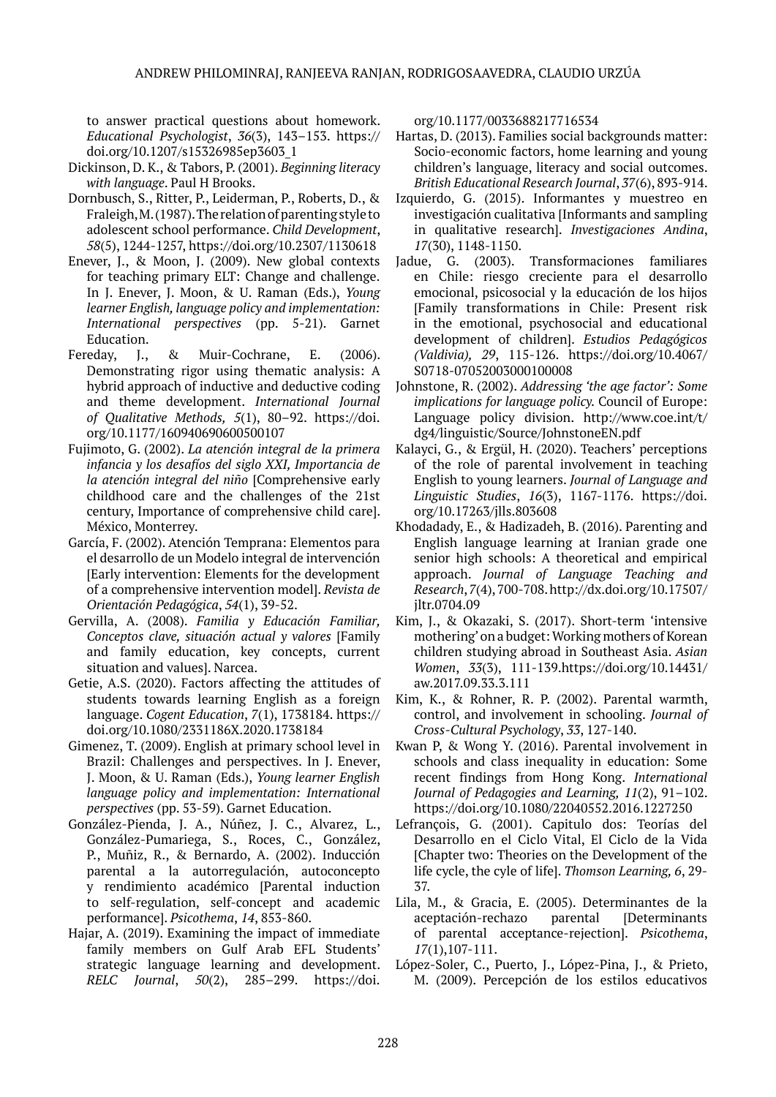to answer practical questions about homework. *Educational Psychologist*, *36*(3), 143–153. [https://](https://doi.org/10.1207/s15326985ep3603_1) [doi.org/10.1207/s15326985ep3603\\_1](https://doi.org/10.1207/s15326985ep3603_1)

- Dickinson, D. K., & Tabors, P. (2001). *Beginning literacy with language*. Paul H Brooks.
- Dornbusch, S., Ritter, P., Leiderman, P., Roberts, D., & Fraleigh, M. (1987). The relation of parenting style to adolescent school performance. *Child Development*, *58*(5), 1244-1257, <https://doi.org/10.2307/1130618>
- Enever, J., & Moon, J. (2009). New global contexts for teaching primary ELT: Change and challenge. In J. Enever, J. Moon, & U. Raman (Eds.), *Young learner English, language policy and implementation: International perspectives* (pp. 5-21). Garnet Education.
- Fereday, J., & Muir-Cochrane, E. (2006). Demonstrating rigor using thematic analysis: A hybrid approach of inductive and deductive coding and theme development. *International Journal of Qualitative Methods, 5*(1), 80–92. https://doi. org/10.1177/160940690600500107
- Fujimoto, G. (2002). *La atención integral de la primera infancia y los desafíos del siglo XXI, Importancia de la atención integral del niño* [Comprehensive early childhood care and the challenges of the 21st century, Importance of comprehensive child care]. México, Monterrey.
- García, F. (2002). Atención Temprana: Elementos para el desarrollo de un Modelo integral de intervención [Early intervention: Elements for the development of a comprehensive intervention model]. *Revista de Orientación Pedagógica*, *54*(1), 39-52.
- Gervilla, A. (2008). *Familia y Educación Familiar, Conceptos clave, situación actual y valores* [Family and family education, key concepts, current situation and values]. Narcea.
- Getie, A.S. (2020). Factors affecting the attitudes of students towards learning English as a foreign language. *Cogent Education*, *7*(1), 1738184. https:// doi.org/10.1080/2331186X.2020.1738184
- Gimenez, T. (2009). English at primary school level in Brazil: Challenges and perspectives. In J. Enever, J. Moon, & U. Raman (Eds.), *Young learner English language policy and implementation: International perspectives* (pp. 53-59). Garnet Education.
- González-Pienda, J. A., Núñez, J. C., Alvarez, L., González-Pumariega, S., Roces, C., González, P., Muñiz, R., & Bernardo, A. (2002). Inducción parental a la autorregulación, autoconcepto y rendimiento académico [Parental induction to self-regulation, self-concept and academic performance]. *Psicothema*, *14*, 853-860.
- Hajar, A. (2019). Examining the impact of immediate family members on Gulf Arab EFL Students' strategic language learning and development. *RELC Journal*, *50*(2), 285–299. https://doi.

org/10.1177/0033688217716534

- Hartas, D. (2013). Families social backgrounds matter: Socio-economic factors, home learning and young children's language, literacy and social outcomes. *British Educational Research Journal*, *37*(6), 893-914.
- Izquierdo, G. (2015). Informantes y muestreo en investigación cualitativa [Informants and sampling in qualitative research]. *Investigaciones Andina*, *17*(30), 1148-1150.
- Jadue, G. (2003). Transformaciones familiares en Chile: riesgo creciente para el desarrollo emocional, psicosocial y la educación de los hijos [Family transformations in Chile: Present risk in the emotional, psychosocial and educational development of children]. *Estudios Pedagógicos (Valdivia), 29*, 115-126. [https://doi.org/10.4067/](https://doi.org/10.4067/S0718-07052003000100008) [S0718-07052003000100008](https://doi.org/10.4067/S0718-07052003000100008)
- Johnstone, R. (2002). *Addressing 'the age factor': Some implications for language policy.* Council of Europe: Language policy division. [http://www.coe.int/t/](http://www.coe.int/t/dg4/linguistic/Source/JohnstoneEN.pdf) [dg4/linguistic/Source/JohnstoneEN.pdf](http://www.coe.int/t/dg4/linguistic/Source/JohnstoneEN.pdf)
- Kalayci, G., & Ergül, H. (2020). Teachers' perceptions of the role of parental involvement in teaching English to young learners. *Journal of Language and Linguistic Studies*, *16*(3), 1167-1176. [https://doi.](https://doi.org/10.17263/jlls.803608) [org/10.17263/jlls.803608](https://doi.org/10.17263/jlls.803608)
- Khodadady, E., & Hadizadeh, B. (2016). Parenting and English language learning at Iranian grade one senior high schools: A theoretical and empirical approach. *Journal of Language Teaching and Research*, *7*(4), 700-708. http://dx.doi.org/10.17507/ jltr.0704.09
- Kim, J., & Okazaki, S. (2017). Short-term 'intensive mothering' on a budget: Working mothers of Korean children studying abroad in Southeast Asia. *Asian Women*, *33*(3), 111-139.https://doi.org/10.14431/ aw.2017.09.33.3.111
- Kim, K., & Rohner, R. P. (2002). Parental warmth, control, and involvement in schooling. *Journal of Cross-Cultural Psychology*, *33*, 127-140.
- Kwan P, & Wong Y. (2016). Parental involvement in schools and class inequality in education: Some recent findings from Hong Kong. *International Journal of Pedagogies and Learning, 11*(2), 91–102. https://doi.org/10.1080/22040552.2016.1227250
- Lefrançois, G. (2001). Capitulo dos: Teorías del Desarrollo en el Ciclo Vital, El Ciclo de la Vida [Chapter two: Theories on the Development of the life cycle, the cyle of life]. *Thomson Learning, 6*, 29- 37.
- Lila, M., & Gracia, E. (2005). Determinantes de la aceptación-rechazo parental [Determinants of parental acceptance-rejection]. *Psicothema*, *17*(1),107-111.
- López-Soler, C., Puerto, J., López-Pina, J., & Prieto, M. (2009). Percepción de los estilos educativos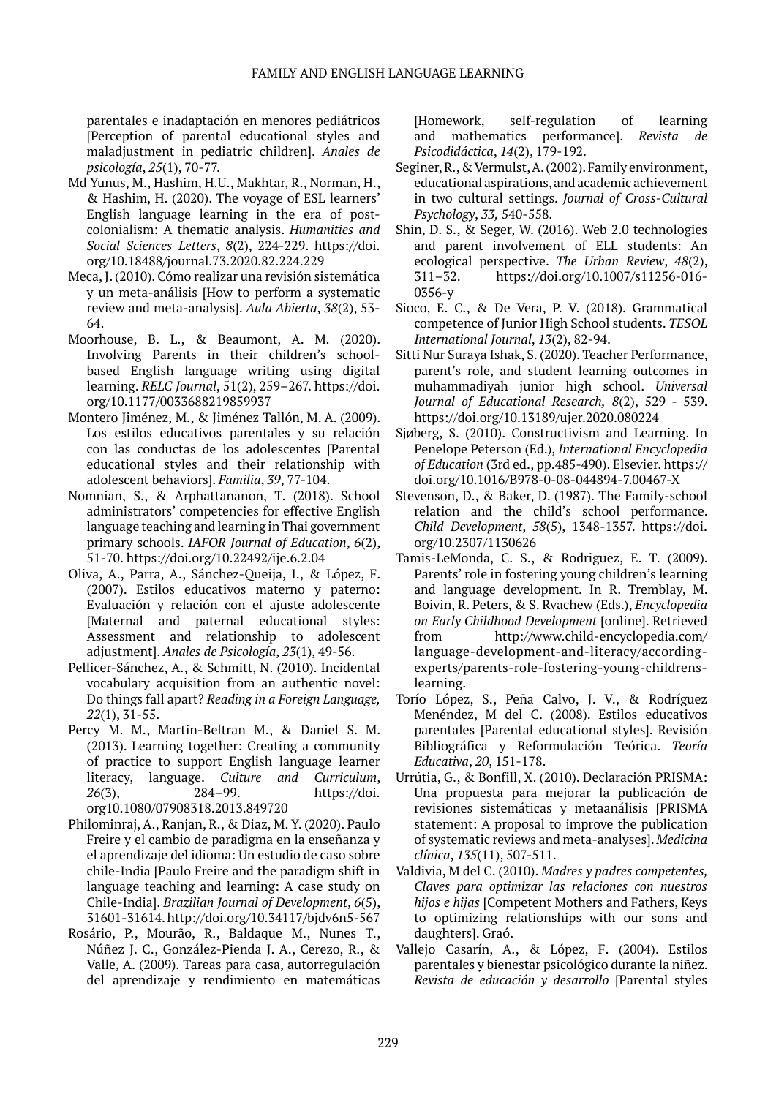parentales e inadaptación en menores pediátricos [Perception of parental educational styles and maladjustment in pediatric children]. *Anales de psicología*, *25*(1), 70-77.

- Md Yunus, M., Hashim, H.U., Makhtar, R., Norman, H., & Hashim, H. (2020). The voyage of ESL learners' English language learning in the era of postcolonialism: A thematic analysis. *Humanities and Social Sciences Letters*, *8*(2), 224-229. [https://doi.](https://doi.org/10.18488/journal.73.2020.82.224.229) [org/10.18488/journal.73.2020.82.224.229](https://doi.org/10.18488/journal.73.2020.82.224.229)
- Meca, J. (2010). Cómo realizar una revisión sistemática y un meta-análisis [How to perform a systematic review and meta-analysis]. *Aula Abierta*, *38*(2), 53- 64.
- Moorhouse, B. L., & Beaumont, A. M. (2020). Involving Parents in their children's schoolbased English language writing using digital learning. *RELC Journal*, 51(2), 259–267. https://doi. org/10.1177/0033688219859937
- Montero Jiménez, M., & Jiménez Tallón, M. A. (2009). Los estilos educativos parentales y su relación con las conductas de los adolescentes [Parental educational styles and their relationship with adolescent behaviors]. *Familia*, *39*, 77-104.
- Nomnian, S., & Arphattananon, T. (2018). School administrators' competencies for effective English language teaching and learning in Thai government primary schools. *IAFOR Journal of Education*, *6*(2), 51-70. https://doi.org/10.22492/ije.6.2.04
- Oliva, A., Parra, A., Sánchez-Queija, I., & López, F. (2007). Estilos educativos materno y paterno: Evaluación y relación con el ajuste adolescente [Maternal and paternal educational styles: Assessment and relationship to adolescent adjustment]. *Anales de Psicología*, *23*(1), 49-56.
- Pellicer-Sánchez, A., & Schmitt, N. (2010). Incidental vocabulary acquisition from an authentic novel: Do things fall apart? *Reading in a Foreign Language, 22*(1), 31-55.
- Percy M. M., Martin-Beltran M., & Daniel S. M. (2013). Learning together: Creating a community of practice to support English language learner literacy, language. *Culture and Curriculum*, *26*(3), 284–99. https://doi. org10.1080/07908318.2013.849720
- Philominraj, A., Ranjan, R., & Diaz, M. Y. (2020). Paulo Freire y el cambio de paradigma en la enseñanza y el aprendizaje del idioma: Un estudio de caso sobre chile-India [Paulo Freire and the paradigm shift in language teaching and learning: A case study on Chile-India]. *Brazilian Journal of Development*, *6*(5), 31601-31614.<http://doi.org/10.34117/bjdv6n5-567>
- Rosário, P., Mourão, R., Baldaque M., Nunes T., Núñez J. C., González-Pienda J. A., Cerezo, R., & Valle, A. (2009). Tareas para casa, autorregulación del aprendizaje y rendimiento en matemáticas

[Homework, self-regulation of learning and mathematics performance]. *Revista de Psicodidáctica*, *14*(2), 179-192.

- Seginer, R., & Vermulst, A. (2002). Family environment, educational aspirations, and academic achievement in two cultural settings. *Journal of Cross-Cultural Psychology*, *33,* 540-558.
- Shin, D. S., & Seger, W. (2016). Web 2.0 technologies and parent involvement of ELL students: An ecological perspective. *The Urban Review*, *48*(2), 311–32. https://doi.org/10.1007/s11256-016- 0356-y
- Sioco, E. C., & De Vera, P. V. (2018). Grammatical competence of Junior High School students. *TESOL International Journal*, *13*(2), 82-94.
- Sitti Nur Suraya Ishak, S. (2020). Teacher Performance, parent's role, and student learning outcomes in muhammadiyah junior high school. *Universal Journal of Educational Research, 8*(2), 529 - 539. <https://doi.org/10.13189/ujer.2020.080224>
- Sjøberg, S. (2010). Constructivism and Learning. In Penelope Peterson (Ed.), *International Encyclopedia of Education* (3rd ed., pp.485-490). Elsevier. https:// doi.org/10.1016/B978-0-08-044894-7.00467-X
- Stevenson, D., & Baker, D. (1987). The Family-school relation and the child's school performance. *Child Development*, *58*(5), 1348-1357. [https://doi.](https://doi.org/10.2307/1130626) [org/10.2307/1130626](https://doi.org/10.2307/1130626)
- Tamis-LeMonda, C. S., & Rodriguez, E. T. (2009). Parents' role in fostering young children's learning and language development. In R. Tremblay, M. Boivin, R. Peters, & S. Rvachew (Eds.), *Encyclopedia on Early Childhood Development* [online]. Retrieved from [http://www.child-encyclopedia.com/](http://www.child-encyclopedia.com/language-development-and-literacy/according-experts/parents-role-fostering-young-childrens-learning) [language-development-and-literacy/according](http://www.child-encyclopedia.com/language-development-and-literacy/according-experts/parents-role-fostering-young-childrens-learning)[experts/parents-role-fostering-young-childrens](http://www.child-encyclopedia.com/language-development-and-literacy/according-experts/parents-role-fostering-young-childrens-learning)[learning.](http://www.child-encyclopedia.com/language-development-and-literacy/according-experts/parents-role-fostering-young-childrens-learning)
- Torío López, S., Peña Calvo, J. V., & Rodríguez Menéndez, M del C. (2008). Estilos educativos parentales [Parental educational styles]. Revisión Bibliográfica y Reformulación Teórica. *Teoría Educativa*, *20*, 151-178.
- Urrútia, G., & Bonfill, X. (2010). Declaración PRISMA: Una propuesta para mejorar la publicación de revisiones sistemáticas y metaanálisis [PRISMA statement: A proposal to improve the publication of systematic reviews and meta-analyses]. *Medicina clínica*, *135*(11), 507-511.
- Valdivia, M del C. (2010). *Madres y padres competentes, Claves para optimizar las relaciones con nuestros hijos e hijas* [Competent Mothers and Fathers, Keys to optimizing relationships with our sons and daughters]. Graó.
- Vallejo Casarín, A., & López, F. (2004). Estilos parentales y bienestar psicológico durante la niñez. *Revista de educación y desarrollo* [Parental styles